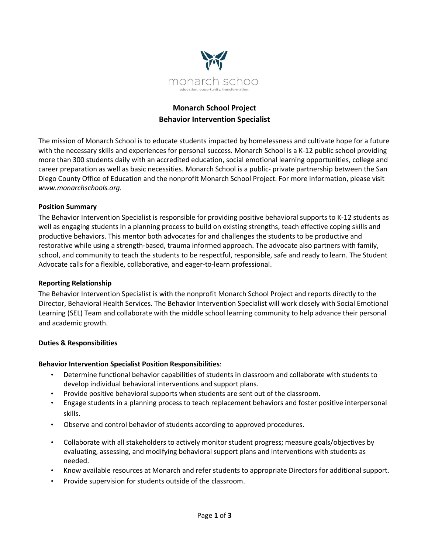

# **Monarch School Project Behavior Intervention Specialist**

The mission of Monarch School is to educate students impacted by homelessness and cultivate hope for a future with the necessary skills and experiences for personal success. Monarch School is a K-12 public school providing more than 300 students daily with an accredited education, social emotional learning opportunities, college and career preparation as well as basic necessities. Monarch School is a public- private partnership between the San Diego County Office of Education and the nonprofit Monarch School Project. For more information, please visit *www.monarchschools.org.*

# **Position Summary**

The Behavior Intervention Specialist is responsible for providing positive behavioral supports to K-12 students as well as engaging students in a planning process to build on existing strengths, teach effective coping skills and productive behaviors. This mentor both advocates for and challenges the students to be productive and restorative while using a strength-based, trauma informed approach. The advocate also partners with family, school, and community to teach the students to be respectful, responsible, safe and ready to learn. The Student Advocate calls for a flexible, collaborative, and eager-to-learn professional.

### **Reporting Relationship**

The Behavior Intervention Specialist is with the nonprofit Monarch School Project and reports directly to the Director, Behavioral Health Services. The Behavior Intervention Specialist will work closely with Social Emotional Learning (SEL) Team and collaborate with the middle school learning community to help advance their personal and academic growth.

### **Duties & Responsibilities**

### **Behavior Intervention Specialist Position Responsibilities**:

- Determine functional behavior capabilities of students in classroom and collaborate with students to develop individual behavioral interventions and support plans.
- Provide positive behavioral supports when students are sent out of the classroom.
- Engage students in a planning process to teach replacement behaviors and foster positive interpersonal skills.
- Observe and control behavior of students according to approved procedures.
- Collaborate with all stakeholders to actively monitor student progress; measure goals/objectives by evaluating, assessing, and modifying behavioral support plans and interventions with students as needed.
- Know available resources at Monarch and refer students to appropriate Directors for additional support.
- Provide supervision for students outside of the classroom.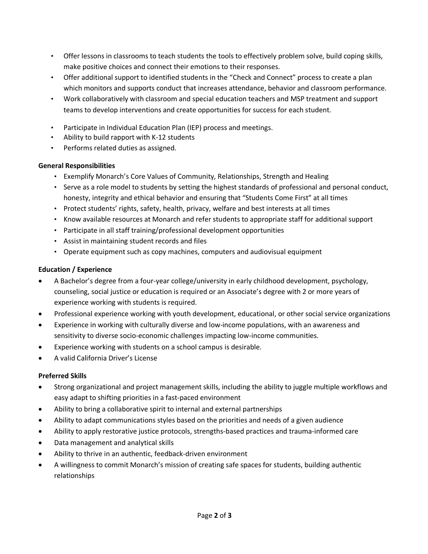- Offer lessons in classrooms to teach students the tools to effectively problem solve, build coping skills, make positive choices and connect their emotions to their responses.
- Offer additional support to identified students in the "Check and Connect" process to create a plan which monitors and supports conduct that increases attendance, behavior and classroom performance.
- Work collaboratively with classroom and special education teachers and MSP treatment and support teams to develop interventions and create opportunities for success for each student.
- Participate in Individual Education Plan (IEP) process and meetings.
- Ability to build rapport with K-12 students
- Performs related duties as assigned.

# **General Responsibilities**

- Exemplify Monarch's Core Values of Community, Relationships, Strength and Healing
- Serve as a role model to students by setting the highest standards of professional and personal conduct, honesty, integrity and ethical behavior and ensuring that "Students Come First" at all times
- Protect students' rights, safety, health, privacy, welfare and best interests at all times
- Know available resources at Monarch and refer students to appropriate staff for additional support
- Participate in all staff training/professional development opportunities
- Assist in maintaining student records and files
- Operate equipment such as copy machines, computers and audiovisual equipment

# **Education / Experience**

- A Bachelor's degree from a four-year college/university in early childhood development, psychology, counseling, social justice or education is required or an Associate's degree with 2 or more years of experience working with students is required.
- Professional experience working with youth development, educational, or other social service organizations
- Experience in working with culturally diverse and low-income populations, with an awareness and sensitivity to diverse socio-economic challenges impacting low-income communities.
- Experience working with students on a school campus is desirable.
- A valid California Driver's License

# **Preferred Skills**

- Strong organizational and project management skills, including the ability to juggle multiple workflows and easy adapt to shifting priorities in a fast-paced environment
- Ability to bring a collaborative spirit to internal and external partnerships
- Ability to adapt communications styles based on the priorities and needs of a given audience
- Ability to apply restorative justice protocols, strengths-based practices and trauma-informed care
- Data management and analytical skills
- Ability to thrive in an authentic, feedback-driven environment
- A willingness to commit Monarch's mission of creating safe spaces for students, building authentic relationships